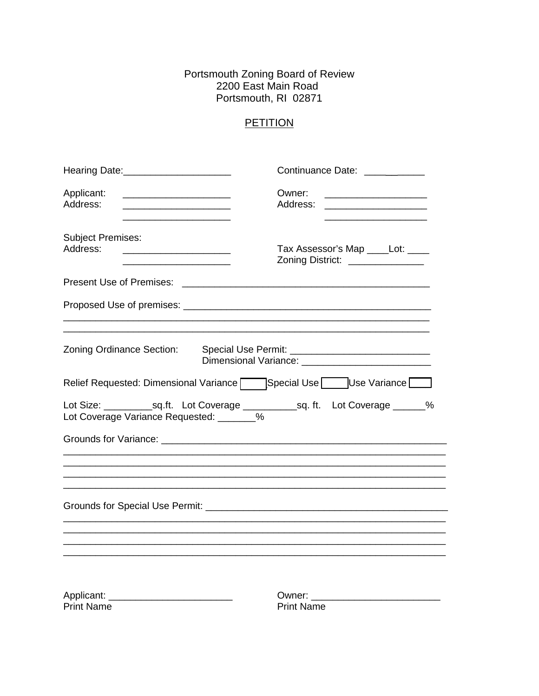# Portsmouth Zoning Board of Review<br>2200 East Main Road Portsmouth, RI 02871

## PETITION

| Hearing Date:______________________                                                       | Continuance Date: ___________                                                                                                               |  |  |  |
|-------------------------------------------------------------------------------------------|---------------------------------------------------------------------------------------------------------------------------------------------|--|--|--|
| Applicant:<br>Address:<br><u> 1989 - Johann Barbara, martxa alemaniar a</u>               | Owner:<br>Address:<br><u> 1989 - Johann Harry Harry Harry Harry Harry Harry Harry Harry Harry Harry Harry Harry Harry Harry Harry Harry</u> |  |  |  |
| <b>Subject Premises:</b><br>Address:<br><u> 1980 - Johann Barbara, martin amerikan ba</u> | Tax Assessor's Map _____Lot: ____<br>Zoning District: _______________                                                                       |  |  |  |
|                                                                                           |                                                                                                                                             |  |  |  |
|                                                                                           |                                                                                                                                             |  |  |  |
| Zoning Ordinance Section:                                                                 |                                                                                                                                             |  |  |  |
|                                                                                           | Relief Requested: Dimensional Variance   Special Use   Use Variance                                                                         |  |  |  |
| Lot Coverage Variance Requested: _______%                                                 |                                                                                                                                             |  |  |  |
|                                                                                           |                                                                                                                                             |  |  |  |
|                                                                                           |                                                                                                                                             |  |  |  |
|                                                                                           |                                                                                                                                             |  |  |  |
|                                                                                           |                                                                                                                                             |  |  |  |
|                                                                                           |                                                                                                                                             |  |  |  |
| <b>Print Name</b>                                                                         | Owner: ________________________<br><b>Print Name</b>                                                                                        |  |  |  |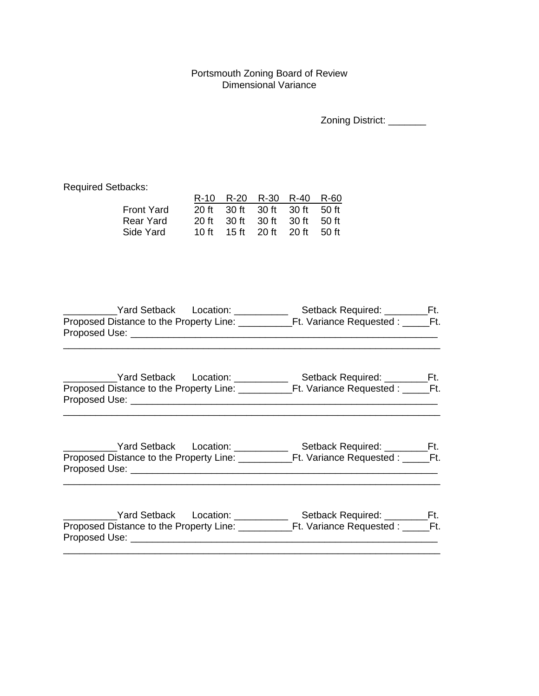#### Portsmouth Zoning Board of Review Dimensional Variance

| <b>Zoning District:</b> |
|-------------------------|
|-------------------------|

Required Setbacks:

|            |  | R-10 R-20 R-30 R-40 R-60      |  |
|------------|--|-------------------------------|--|
| Front Yard |  | 20 ft 30 ft 30 ft 30 ft 50 ft |  |
| Rear Yard  |  | 20 ft 30 ft 30 ft 30 ft 50 ft |  |
| Side Yard  |  | 10 ft 15 ft 20 ft 20 ft 50 ft |  |
|            |  |                               |  |

| <b>Yard Setback</b><br>Location:        | Setback Required:        |  |
|-----------------------------------------|--------------------------|--|
| Proposed Distance to the Property Line: | Ft. Variance Requested : |  |
| Proposed Use:                           |                          |  |
|                                         |                          |  |

| Yard Setback<br>Location:               | Setback Required:        |
|-----------------------------------------|--------------------------|
| Proposed Distance to the Property Line: | Ft. Variance Requested : |
| Proposed Use:                           |                          |

\_\_\_\_\_\_\_\_\_\_\_\_\_\_\_\_\_\_\_\_\_\_\_\_\_\_\_\_\_\_\_\_\_\_\_\_\_\_\_\_\_\_\_\_\_\_\_\_\_\_\_\_\_\_\_\_\_\_\_\_\_\_\_\_\_\_\_\_\_\_

| Yard Setback<br>Location:               | Setback Required:        |
|-----------------------------------------|--------------------------|
| Proposed Distance to the Property Line: | Ft. Variance Requested : |
| Proposed Use:                           |                          |

\_\_\_\_\_\_\_\_\_\_\_\_\_\_\_\_\_\_\_\_\_\_\_\_\_\_\_\_\_\_\_\_\_\_\_\_\_\_\_\_\_\_\_\_\_\_\_\_\_\_\_\_\_\_\_\_\_\_\_\_\_\_\_\_\_\_\_\_\_\_

\_\_\_\_\_\_\_\_\_\_Yard Setback Location: \_\_\_\_\_\_\_\_\_\_ Setback Required: \_\_\_\_\_\_\_\_Ft. Proposed Distance to the Property Line: \_\_\_\_\_\_\_\_\_\_Ft. Variance Requested : \_\_\_\_\_Ft. Proposed Use: \_\_\_\_\_\_\_\_\_\_\_\_\_\_\_\_\_\_\_\_\_\_\_\_\_\_\_\_\_\_\_\_\_\_\_\_\_\_\_\_\_\_\_\_\_\_\_\_\_\_\_\_\_\_\_\_\_ \_\_\_\_\_\_\_\_\_\_\_\_\_\_\_\_\_\_\_\_\_\_\_\_\_\_\_\_\_\_\_\_\_\_\_\_\_\_\_\_\_\_\_\_\_\_\_\_\_\_\_\_\_\_\_\_\_\_\_\_\_\_\_\_\_\_\_\_\_\_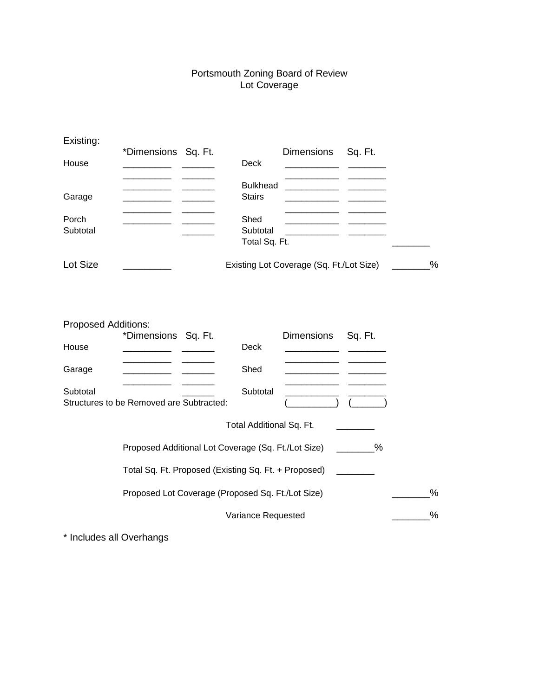#### Portsmouth Zoning Board of Review Lot Coverage

| Existing:                           |                                                      |                                   |                                          |             |      |
|-------------------------------------|------------------------------------------------------|-----------------------------------|------------------------------------------|-------------|------|
| House                               | *Dimensions Sq. Ft.                                  | <b>Deck</b>                       | Dimensions                               | Sq. Ft.     |      |
| Garage                              |                                                      | <b>Bulkhead</b><br><b>Stairs</b>  |                                          |             |      |
| Porch<br>Subtotal                   |                                                      | Shed<br>Subtotal<br>Total Sq. Ft. |                                          |             |      |
| Lot Size                            |                                                      |                                   | Existing Lot Coverage (Sq. Ft./Lot Size) |             | $\%$ |
| <b>Proposed Additions:</b><br>House | *Dimensions Sq. Ft.                                  | <b>Deck</b>                       | Dimensions                               | Sq. Ft.     |      |
| Garage                              |                                                      | Shed                              |                                          |             |      |
| Subtotal                            | Structures to be Removed are Subtracted:             | Subtotal                          |                                          |             |      |
|                                     |                                                      | Total Additional Sq. Ft.          |                                          |             |      |
|                                     | Proposed Additional Lot Coverage (Sq. Ft./Lot Size)  |                                   |                                          | $\sim$ $\%$ |      |
|                                     | Total Sq. Ft. Proposed (Existing Sq. Ft. + Proposed) |                                   |                                          |             |      |
|                                     | Proposed Lot Coverage (Proposed Sq. Ft./Lot Size)    |                                   |                                          |             | $\%$ |
|                                     |                                                      | Variance Requested                |                                          |             | %    |

\* Includes all Overhangs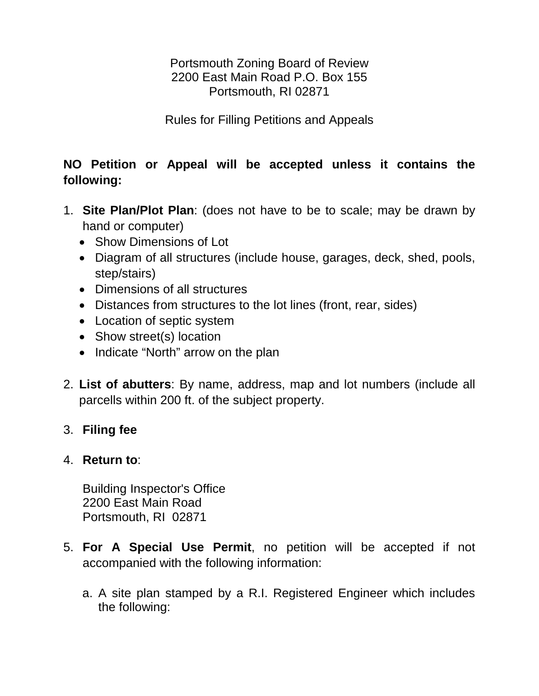Portsmouth Zoning Board of Review 2200 East Main Road P.O. Box 155 Portsmouth, RI 02871

Rules for Filling Petitions and Appeals

# **NO Petition or Appeal will be accepted unless it contains the following:**

- 1. **Site Plan/Plot Plan**: (does not have to be to scale; may be drawn by hand or computer)
	- Show Dimensions of Lot
	- Diagram of all structures (include house, garages, deck, shed, pools, step/stairs)
	- Dimensions of all structures
	- Distances from structures to the lot lines (front, rear, sides)
	- Location of septic system
	- Show street(s) location
	- Indicate "North" arrow on the plan
- 2. **List of abutters**: By name, address, map and lot numbers (include all parcells within 200 ft. of the subject property.

### 3. **Filing fee**

### 4. **Return to**:

 Building Inspector's Office 2200 East Main Road Portsmouth, RI 02871

- 5. **For A Special Use Permit**, no petition will be accepted if not accompanied with the following information:
	- a. A site plan stamped by a R.I. Registered Engineer which includes the following: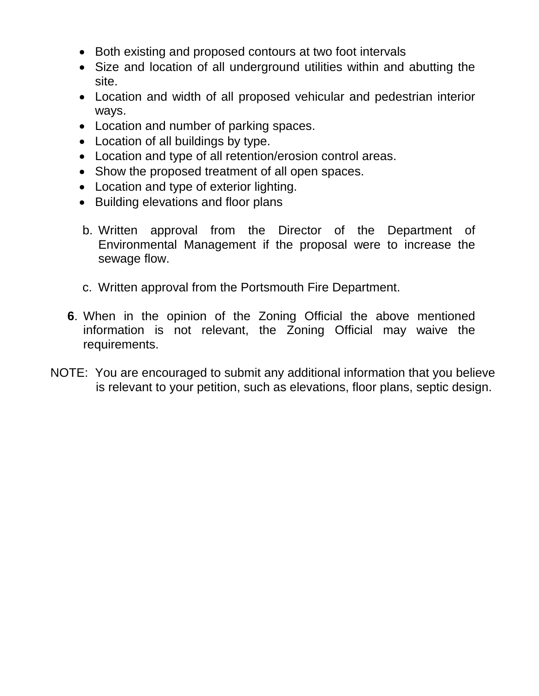- Both existing and proposed contours at two foot intervals
- Size and location of all underground utilities within and abutting the site.
- Location and width of all proposed vehicular and pedestrian interior ways.
- Location and number of parking spaces.
- Location of all buildings by type.
- Location and type of all retention/erosion control areas.
- Show the proposed treatment of all open spaces.
- Location and type of exterior lighting.
- Building elevations and floor plans
- b. Written approval from the Director of the Department of Environmental Management if the proposal were to increase the sewage flow.
- c. Written approval from the Portsmouth Fire Department.
- **6**. When in the opinion of the Zoning Official the above mentioned information is not relevant, the Zoning Official may waive the requirements.
- NOTE: You are encouraged to submit any additional information that you believe is relevant to your petition, such as elevations, floor plans, septic design.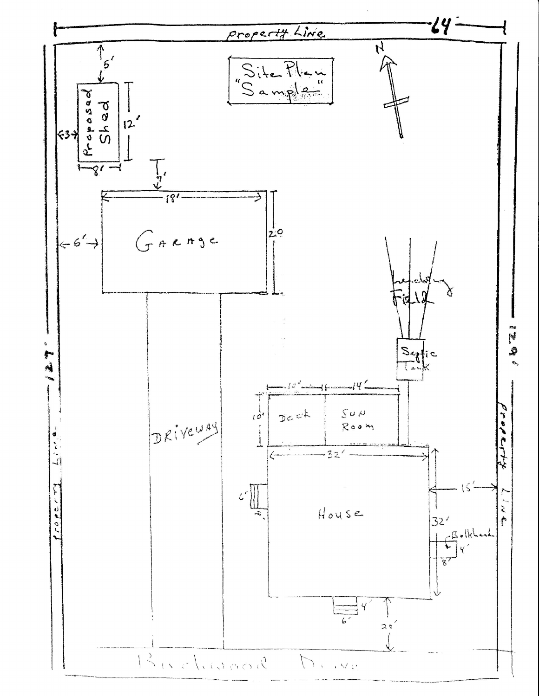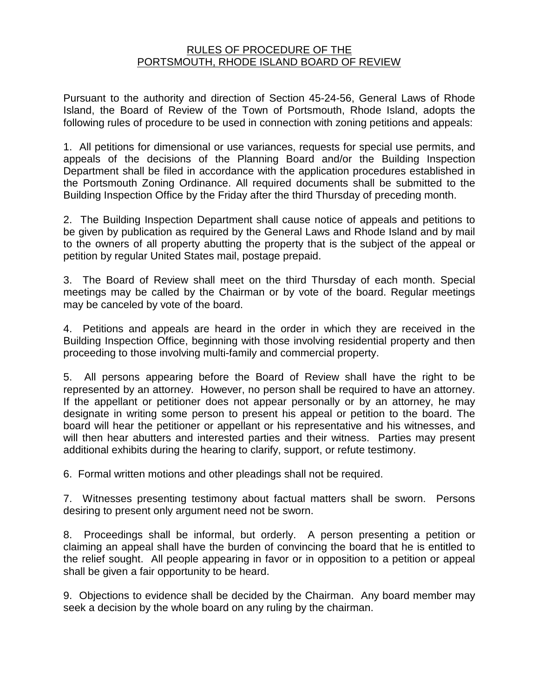### RULES OF PROCEDURE OF THE PORTSMOUTH, RHODE ISLAND BOARD OF REVIEW

Pursuant to the authority and direction of Section 45-24-56, General Laws of Rhode Island, the Board of Review of the Town of Portsmouth, Rhode Island, adopts the following rules of procedure to be used in connection with zoning petitions and appeals:

1. All petitions for dimensional or use variances, requests for special use permits, and appeals of the decisions of the Planning Board and/or the Building Inspection Department shall be filed in accordance with the application procedures established in the Portsmouth Zoning Ordinance. All required documents shall be submitted to the Building Inspection Office by the Friday after the third Thursday of preceding month.

2. The Building Inspection Department shall cause notice of appeals and petitions to be given by publication as required by the General Laws and Rhode Island and by mail to the owners of all property abutting the property that is the subject of the appeal or petition by regular United States mail, postage prepaid.

3. The Board of Review shall meet on the third Thursday of each month. Special meetings may be called by the Chairman or by vote of the board. Regular meetings may be canceled by vote of the board.

4. Petitions and appeals are heard in the order in which they are received in the Building Inspection Office, beginning with those involving residential property and then proceeding to those involving multi-family and commercial property.

5. All persons appearing before the Board of Review shall have the right to be represented by an attorney. However, no person shall be required to have an attorney. If the appellant or petitioner does not appear personally or by an attorney, he may designate in writing some person to present his appeal or petition to the board. The board will hear the petitioner or appellant or his representative and his witnesses, and will then hear abutters and interested parties and their witness. Parties may present additional exhibits during the hearing to clarify, support, or refute testimony.

6. Formal written motions and other pleadings shall not be required.

7. Witnesses presenting testimony about factual matters shall be sworn. Persons desiring to present only argument need not be sworn.

8. Proceedings shall be informal, but orderly. A person presenting a petition or claiming an appeal shall have the burden of convincing the board that he is entitled to the relief sought. All people appearing in favor or in opposition to a petition or appeal shall be given a fair opportunity to be heard.

9. Objections to evidence shall be decided by the Chairman. Any board member may seek a decision by the whole board on any ruling by the chairman.